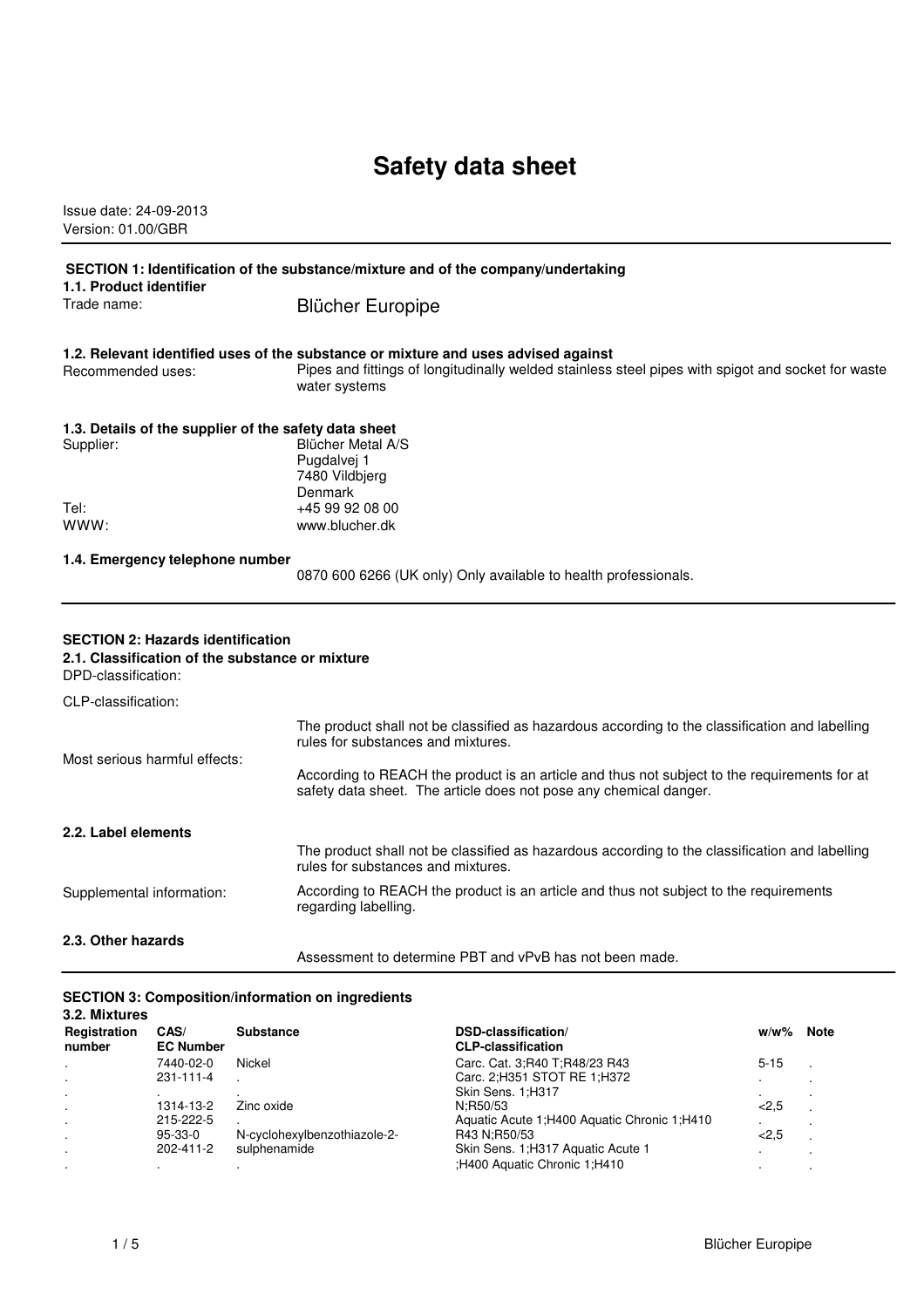# **Safety data sheet**

Issue date: 24-09-2013 Version: 01.00/GBR

| SECTION 1: Identification of the substance/mixture and of the company/undertaking                                  |                                                                                                                                                                                                           |  |
|--------------------------------------------------------------------------------------------------------------------|-----------------------------------------------------------------------------------------------------------------------------------------------------------------------------------------------------------|--|
| 1.1. Product identifier<br>Trade name:                                                                             | <b>Blücher Europipe</b>                                                                                                                                                                                   |  |
| Recommended uses:                                                                                                  | 1.2. Relevant identified uses of the substance or mixture and uses advised against<br>Pipes and fittings of longitudinally welded stainless steel pipes with spigot and socket for waste<br>water systems |  |
| 1.3. Details of the supplier of the safety data sheet<br>Supplier:                                                 | <b>Blücher Metal A/S</b><br>Pugdalvej 1<br>7480 Vildbjerg<br><b>Denmark</b>                                                                                                                               |  |
| Tel:<br>www:                                                                                                       | +45 99 92 08 00<br>www.blucher.dk                                                                                                                                                                         |  |
| 1.4. Emergency telephone number                                                                                    | 0870 600 6266 (UK only) Only available to health professionals.                                                                                                                                           |  |
| <b>SECTION 2: Hazards identification</b><br>2.1. Classification of the substance or mixture<br>DPD-classification: |                                                                                                                                                                                                           |  |
| CLP-classification:                                                                                                |                                                                                                                                                                                                           |  |
| Most serious harmful effects:                                                                                      | The product shall not be classified as hazardous according to the classification and labelling<br>rules for substances and mixtures.                                                                      |  |
|                                                                                                                    | According to REACH the product is an article and thus not subject to the requirements for at<br>safety data sheet. The article does not pose any chemical danger.                                         |  |
| 2.2. Label elements                                                                                                |                                                                                                                                                                                                           |  |
|                                                                                                                    | The product shall not be classified as hazardous according to the classification and labelling<br>rules for substances and mixtures.                                                                      |  |
| Supplemental information:                                                                                          | According to REACH the product is an article and thus not subject to the requirements<br>regarding labelling.                                                                                             |  |
| 2.3. Other hazards                                                                                                 | Assessment to determine PBT and vPvB has not been made.                                                                                                                                                   |  |

### **SECTION 3: Composition/information on ingredients**

| 3.2. Mixtures |                  |                              |                                               |          |             |
|---------------|------------------|------------------------------|-----------------------------------------------|----------|-------------|
| Registration  | CAS/             | <b>Substance</b>             | DSD-classification/                           | $w/w\%$  | <b>Note</b> |
| number        | <b>EC Number</b> |                              | <b>CLP-classification</b>                     |          |             |
| $\cdot$       | 7440-02-0        | Nickel                       | Carc. Cat. 3:R40 T:R48/23 R43                 | $5 - 15$ |             |
|               | 231-111-4        |                              | Carc. 2; H351 STOT RE 1; H372                 |          |             |
|               |                  |                              | Skin Sens. 1;H317                             |          |             |
| $\cdot$       | 1314-13-2        | Zinc oxide                   | N:R50/53                                      | 2,5      |             |
|               | 215-222-5        |                              | Aquatic Acute 1: H400 Aquatic Chronic 1: H410 |          |             |
|               | 95-33-0          | N-cyclohexylbenzothiazole-2- | R43 N:R50/53                                  | 2,5      |             |
|               | 202-411-2        | sulphenamide                 | Skin Sens. 1; H317 Aquatic Acute 1            |          |             |
|               |                  |                              | :H400 Aquatic Chronic 1:H410                  |          |             |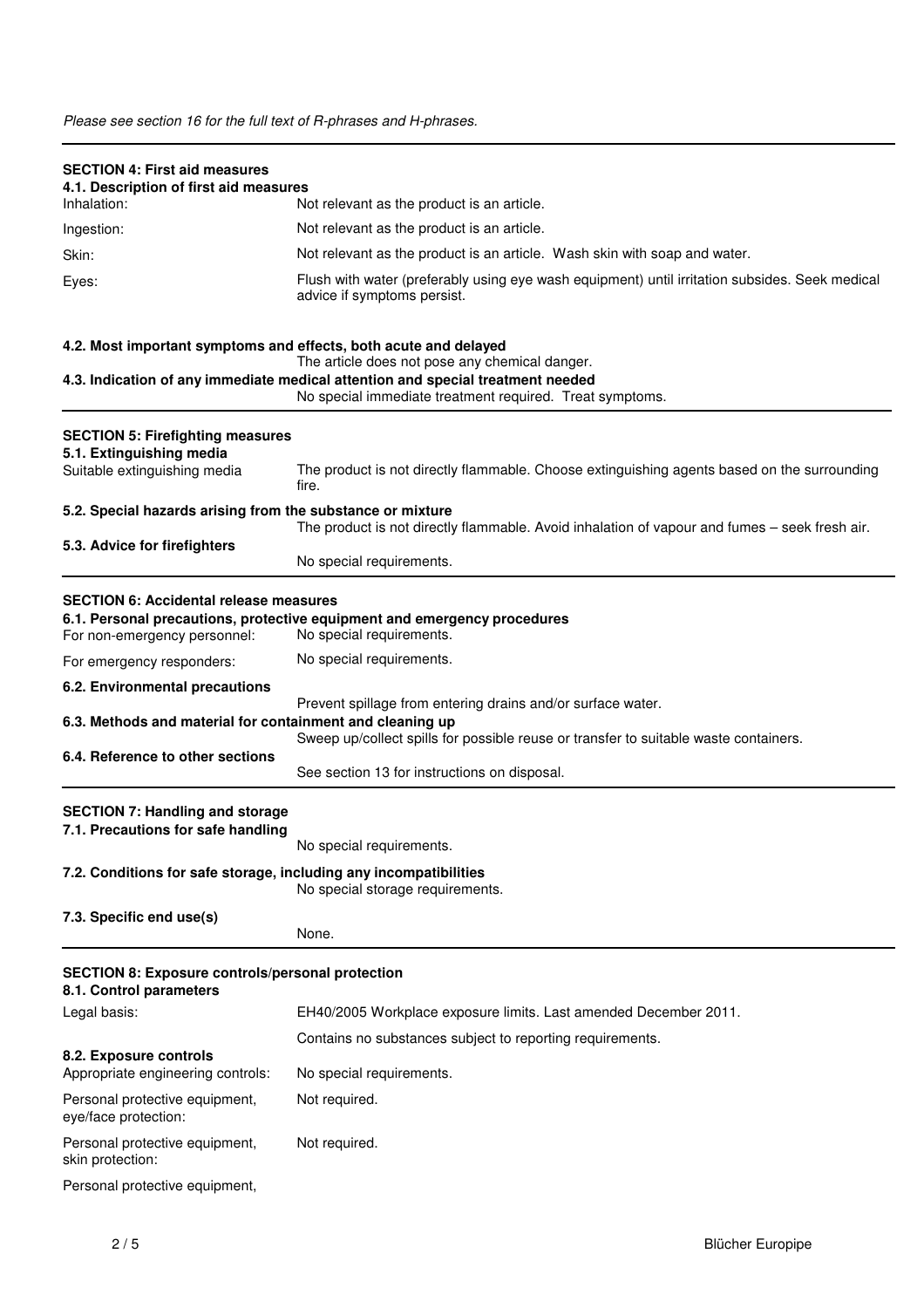| <b>SECTION 4: First aid measures</b><br>4.1. Description of first aid measures                                                                                                                                                                |                                                                                                                                                                                                                                                                                         |
|-----------------------------------------------------------------------------------------------------------------------------------------------------------------------------------------------------------------------------------------------|-----------------------------------------------------------------------------------------------------------------------------------------------------------------------------------------------------------------------------------------------------------------------------------------|
| Inhalation:                                                                                                                                                                                                                                   | Not relevant as the product is an article.                                                                                                                                                                                                                                              |
| Ingestion:                                                                                                                                                                                                                                    | Not relevant as the product is an article.                                                                                                                                                                                                                                              |
| Skin:                                                                                                                                                                                                                                         | Not relevant as the product is an article. Wash skin with soap and water.                                                                                                                                                                                                               |
| Eyes:                                                                                                                                                                                                                                         | Flush with water (preferably using eye wash equipment) until irritation subsides. Seek medical<br>advice if symptoms persist.                                                                                                                                                           |
| 4.2. Most important symptoms and effects, both acute and delayed                                                                                                                                                                              | The article does not pose any chemical danger.<br>4.3. Indication of any immediate medical attention and special treatment needed                                                                                                                                                       |
|                                                                                                                                                                                                                                               | No special immediate treatment required. Treat symptoms.                                                                                                                                                                                                                                |
| <b>SECTION 5: Firefighting measures</b><br>5.1. Extinguishing media<br>Suitable extinguishing media                                                                                                                                           | The product is not directly flammable. Choose extinguishing agents based on the surrounding                                                                                                                                                                                             |
|                                                                                                                                                                                                                                               | fire.                                                                                                                                                                                                                                                                                   |
| 5.2. Special hazards arising from the substance or mixture                                                                                                                                                                                    | The product is not directly flammable. Avoid inhalation of vapour and fumes - seek fresh air.                                                                                                                                                                                           |
| 5.3. Advice for firefighters                                                                                                                                                                                                                  | No special requirements.                                                                                                                                                                                                                                                                |
| <b>SECTION 6: Accidental release measures</b><br>For non-emergency personnel:<br>For emergency responders:<br>6.2. Environmental precautions<br>6.3. Methods and material for containment and cleaning up<br>6.4. Reference to other sections | 6.1. Personal precautions, protective equipment and emergency procedures<br>No special requirements.<br>No special requirements.<br>Prevent spillage from entering drains and/or surface water.<br>Sweep up/collect spills for possible reuse or transfer to suitable waste containers. |
|                                                                                                                                                                                                                                               | See section 13 for instructions on disposal.                                                                                                                                                                                                                                            |
| <b>SECTION 7: Handling and storage</b><br>7.1. Precautions for safe handling                                                                                                                                                                  | No special requirements.                                                                                                                                                                                                                                                                |
| 7.2. Conditions for safe storage, including any incompatibilities                                                                                                                                                                             | No special storage requirements.                                                                                                                                                                                                                                                        |
| 7.3. Specific end use(s)                                                                                                                                                                                                                      | None.                                                                                                                                                                                                                                                                                   |
| <b>SECTION 8: Exposure controls/personal protection</b><br>8.1. Control parameters                                                                                                                                                            |                                                                                                                                                                                                                                                                                         |
| Legal basis:                                                                                                                                                                                                                                  | EH40/2005 Workplace exposure limits. Last amended December 2011.                                                                                                                                                                                                                        |
|                                                                                                                                                                                                                                               | Contains no substances subject to reporting requirements.                                                                                                                                                                                                                               |
| 8.2. Exposure controls<br>Appropriate engineering controls:                                                                                                                                                                                   | No special requirements.                                                                                                                                                                                                                                                                |
| Personal protective equipment,<br>eye/face protection:                                                                                                                                                                                        | Not required.                                                                                                                                                                                                                                                                           |
| Personal protective equipment,<br>skin protection:                                                                                                                                                                                            | Not required.                                                                                                                                                                                                                                                                           |
| Personal protective equipment,                                                                                                                                                                                                                |                                                                                                                                                                                                                                                                                         |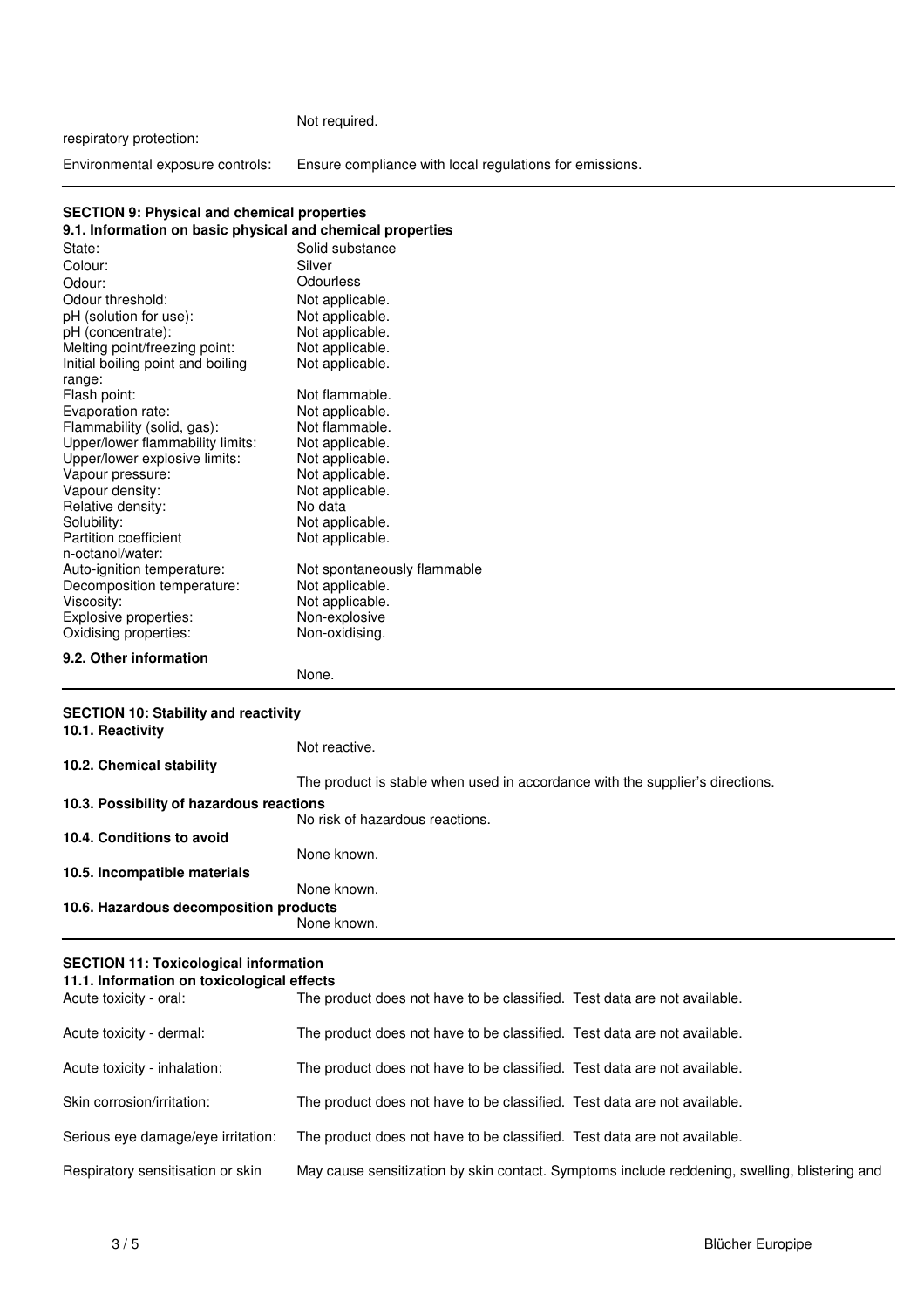### Not required.

respiratory protection:

Environmental exposure controls: Ensure compliance with local regulations for emissions.

#### **SECTION 9: Physical and chemical properties**

| 9.1. Information on basic physical and chemical properties |                             |  |
|------------------------------------------------------------|-----------------------------|--|
| State:                                                     | Solid substance             |  |
| Colour:                                                    | Silver                      |  |
| Odour:                                                     | Odourless                   |  |
| Odour threshold:                                           | Not applicable.             |  |
| pH (solution for use):                                     | Not applicable.             |  |
| pH (concentrate):                                          | Not applicable.             |  |
| Melting point/freezing point:                              | Not applicable.             |  |
| Initial boiling point and boiling                          | Not applicable.             |  |
| range:                                                     |                             |  |
| Flash point:                                               | Not flammable.              |  |
| Evaporation rate:                                          | Not applicable.             |  |
| Flammability (solid, gas):                                 | Not flammable.              |  |
| Upper/lower flammability limits:                           | Not applicable.             |  |
| Upper/lower explosive limits:                              | Not applicable.             |  |
| Vapour pressure:                                           | Not applicable.             |  |
| Vapour density:                                            | Not applicable.             |  |
| Relative density:                                          | No data                     |  |
| Solubility:                                                | Not applicable.             |  |
| <b>Partition coefficient</b>                               | Not applicable.             |  |
| n-octanol/water:                                           |                             |  |
| Auto-ignition temperature:                                 | Not spontaneously flammable |  |
| Decomposition temperature:                                 | Not applicable.             |  |
| Viscosity:                                                 | Not applicable.             |  |
| Explosive properties:                                      | Non-explosive               |  |
| Oxidising properties:                                      | Non-oxidising.              |  |
| 9.2. Other information                                     |                             |  |

None.

## **SECTION 10: Stability and reactivity**

| 10.1. Reactivity                         |                                                                               |
|------------------------------------------|-------------------------------------------------------------------------------|
|                                          | Not reactive.                                                                 |
| 10.2. Chemical stability                 |                                                                               |
|                                          | The product is stable when used in accordance with the supplier's directions. |
| 10.3. Possibility of hazardous reactions |                                                                               |
|                                          | No risk of hazardous reactions.                                               |
| 10.4. Conditions to avoid                |                                                                               |
|                                          | None known.                                                                   |
| 10.5. Incompatible materials             |                                                                               |
|                                          | None known.                                                                   |
| 10.6. Hazardous decomposition products   |                                                                               |
|                                          | None known.                                                                   |
|                                          |                                                                               |

### **SECTION 11: Toxicological information**

|  |  |  | 11.1. Information on toxicological effects |  |
|--|--|--|--------------------------------------------|--|
|--|--|--|--------------------------------------------|--|

| Acute toxicity - oral:             | The product does not have to be classified. Test data are not available. |                                                                                               |
|------------------------------------|--------------------------------------------------------------------------|-----------------------------------------------------------------------------------------------|
| Acute toxicity - dermal:           | The product does not have to be classified. Test data are not available. |                                                                                               |
| Acute toxicity - inhalation:       | The product does not have to be classified. Test data are not available. |                                                                                               |
| Skin corrosion/irritation:         | The product does not have to be classified. Test data are not available. |                                                                                               |
| Serious eye damage/eye irritation: | The product does not have to be classified. Test data are not available. |                                                                                               |
| Respiratory sensitisation or skin  |                                                                          | May cause sensitization by skin contact. Symptoms include reddening, swelling, blistering and |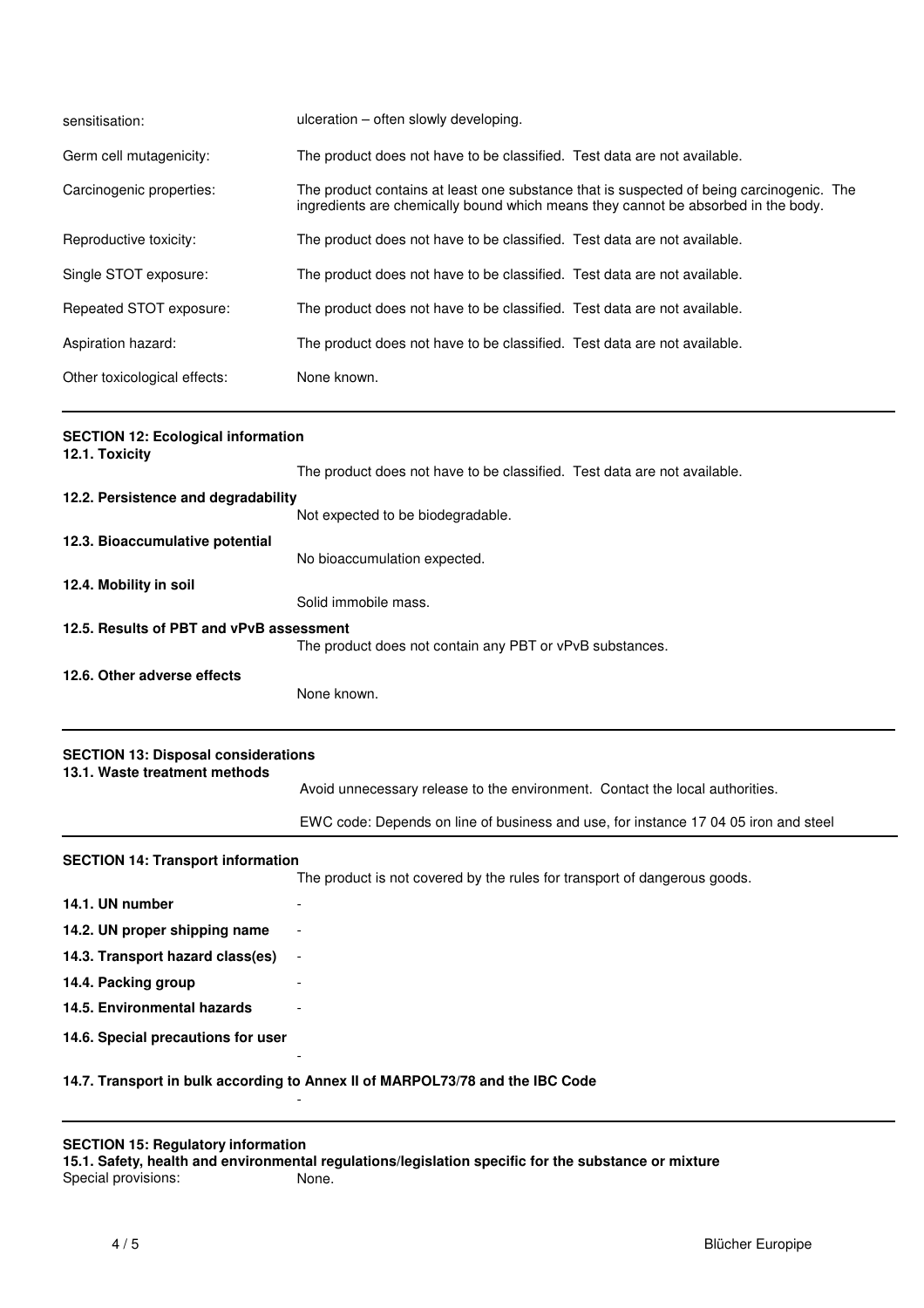| sensitisation:               | ulceration – often slowly developing.                                                                                                                                         |
|------------------------------|-------------------------------------------------------------------------------------------------------------------------------------------------------------------------------|
| Germ cell mutagenicity:      | The product does not have to be classified. Test data are not available.                                                                                                      |
| Carcinogenic properties:     | The product contains at least one substance that is suspected of being carcinogenic. The<br>ingredients are chemically bound which means they cannot be absorbed in the body. |
| Reproductive toxicity:       | The product does not have to be classified. Test data are not available.                                                                                                      |
| Single STOT exposure:        | The product does not have to be classified. Test data are not available.                                                                                                      |
| Repeated STOT exposure:      | The product does not have to be classified. Test data are not available.                                                                                                      |
| Aspiration hazard:           | The product does not have to be classified. Test data are not available.                                                                                                      |
| Other toxicological effects: | None known.                                                                                                                                                                   |

| <b>SECTION 12: Ecological information</b><br>12.1. Toxicity                 |                                                                                     |
|-----------------------------------------------------------------------------|-------------------------------------------------------------------------------------|
|                                                                             | The product does not have to be classified. Test data are not available.            |
| 12.2. Persistence and degradability                                         |                                                                                     |
|                                                                             | Not expected to be biodegradable.                                                   |
| 12.3. Bioaccumulative potential                                             | No bioaccumulation expected.                                                        |
| 12.4. Mobility in soil                                                      |                                                                                     |
|                                                                             | Solid immobile mass.                                                                |
| 12.5. Results of PBT and vPvB assessment                                    | The product does not contain any PBT or vPvB substances.                            |
| 12.6. Other adverse effects                                                 | None known.                                                                         |
| <b>SECTION 13: Disposal considerations</b><br>13.1. Waste treatment methods |                                                                                     |
|                                                                             | Avoid unnecessary release to the environment. Contact the local authorities.        |
|                                                                             | EWC code: Depends on line of business and use, for instance 17 04 05 iron and steel |
| <b>SECTION 14: Transport information</b>                                    |                                                                                     |
|                                                                             | The product is not covered by the rules for transport of dangerous goods.           |
| 14.1. UN number                                                             |                                                                                     |

### - **14.7. Transport in bulk according to Annex II of MARPOL73/78 and the IBC Code**

-

### **SECTION 15: Regulatory information**

**14.2. UN proper shipping name** - **14.3. Transport hazard class(es)** -

**14.5. Environmental hazards** - **14.6. Special precautions for user**

**15.1. Safety, health and environmental regulations/legislation specific for the substance or mixture** Special provisions:

**14.4. Packing group**